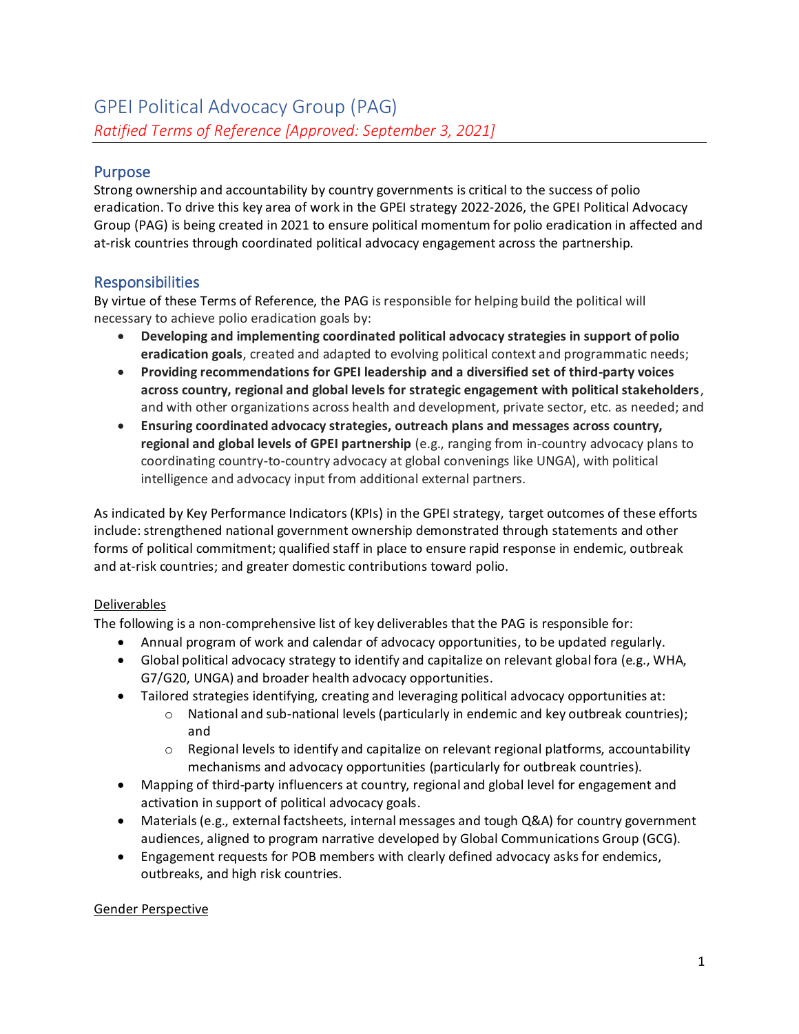## Purpose

Strong ownership and accountability by country governments is critical to the success of polio eradication. To drive this key area of work in the GPEI strategy 2022-2026, the GPEI Political Advocacy Group (PAG) is being created in 2021 to ensure political momentum for polio eradication in affected and at-risk countries through coordinated political advocacy engagement across the partnership.

### Responsibilities

By virtue of these Terms of Reference, the PAG is responsible for helping build the political will necessary to achieve polio eradication goals by:

- **Developing and implementing coordinated political advocacy strategies in support of polio eradication goals**, created and adapted to evolving political context and programmatic needs;
- **Providing recommendations for GPEI leadership and a diversified set of third-party voices across country, regional and global levels for strategic engagement with political stakeholders**, and with other organizations across health and development, private sector, etc. as needed; and
- **Ensuring coordinated advocacy strategies, outreach plans and messages across country, regional and global levels of GPEI partnership** (e.g., ranging from in-country advocacy plans to coordinating country-to-country advocacy at global convenings like UNGA), with political intelligence and advocacy input from additional external partners.

As indicated by Key Performance Indicators (KPIs) in the GPEI strategy, target outcomes of these efforts include: strengthened national government ownership demonstrated through statements and other forms of political commitment; qualified staff in place to ensure rapid response in endemic, outbreak and at-risk countries; and greater domestic contributions toward polio.

#### Deliverables

The following is a non-comprehensive list of key deliverables that the PAG is responsible for:

- Annual program of work and calendar of advocacy opportunities, to be updated regularly.
- Global political advocacy strategy to identify and capitalize on relevant global fora (e.g., WHA, G7/G20, UNGA) and broader health advocacy opportunities.
- Tailored strategies identifying, creating and leveraging political advocacy opportunities at:
	- $\circ$  National and sub-national levels (particularly in endemic and key outbreak countries); and
	- $\circ$  Regional levels to identify and capitalize on relevant regional platforms, accountability mechanisms and advocacy opportunities (particularly for outbreak countries).
- Mapping of third-party influencers at country, regional and global level for engagement and activation in support of political advocacy goals.
- Materials (e.g., external factsheets, internal messages and tough Q&A) for country government audiences, aligned to program narrative developed by Global Communications Group (GCG).
- Engagement requests for POB members with clearly defined advocacy asks for endemics, outbreaks, and high risk countries.

#### Gender Perspective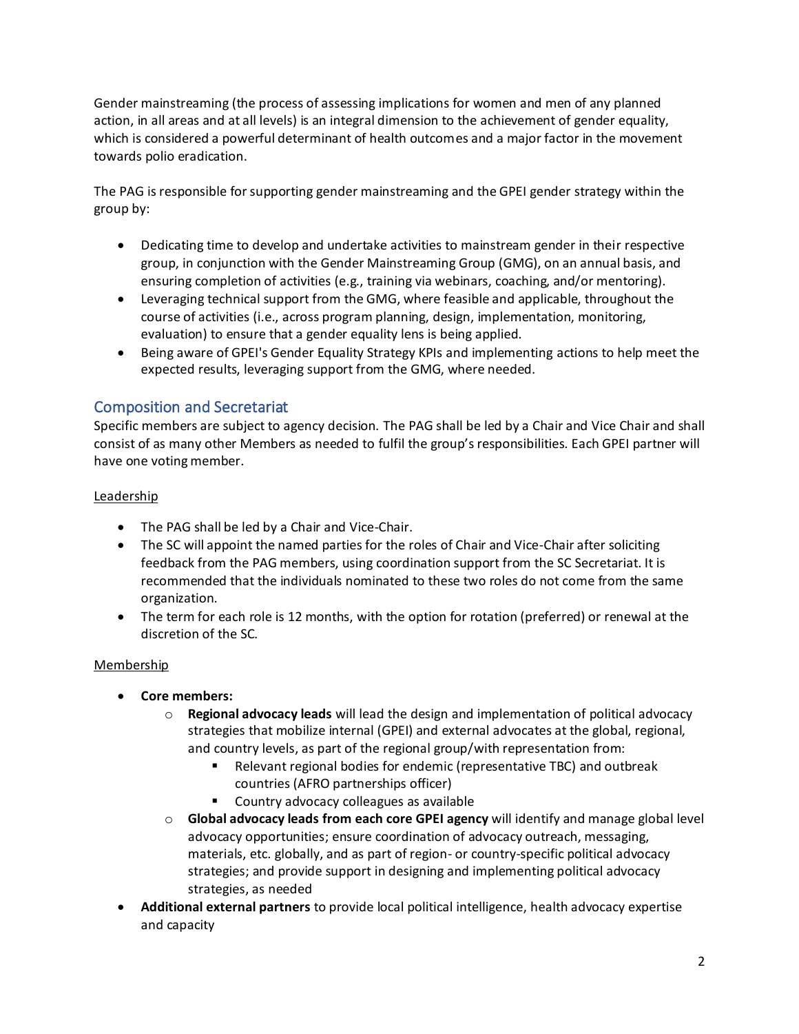Gender mainstreaming (the process of assessing implications for women and men of any planned action, in all areas and at all levels) is an integral dimension to the achievement of gender equality, which is considered a powerful determinant of health outcomes and a major factor in the movement towards polio eradication.

The PAG is responsible for supporting gender mainstreaming and the GPEI gender strategy within the group by:

- Dedicating time to develop and undertake activities to mainstream gender in their respective group, in conjunction with the Gender Mainstreaming Group (GMG), on an annual basis, and ensuring completion of activities (e.g., training via webinars, coaching, and/or mentoring).
- Leveraging technical support from the GMG, where feasible and applicable, throughout the course of activities (i.e., across program planning, design, implementation, monitoring, evaluation) to ensure that a gender equality lens is being applied.
- Being aware of GPEI's Gender Equality Strategy KPIs and implementing actions to help meet the expected results, leveraging support from the GMG, where needed.

# Composition and Secretariat

Specific members are subject to agency decision. The PAG shall be led by a Chair and Vice Chair and shall consist of as many other Members as needed to fulfil the group's responsibilities. Each GPEI partner will have one voting member.

#### Leadership

- The PAG shall be led by a Chair and Vice-Chair.
- The SC will appoint the named parties for the roles of Chair and Vice-Chair after soliciting feedback from the PAG members, using coordination support from the SC Secretariat. It is recommended that the individuals nominated to these two roles do not come from the same organization.
- The term for each role is 12 months, with the option for rotation (preferred) or renewal at the discretion of the SC.

#### Membership

- **Core members:**
	- o **Regional advocacy leads** will lead the design and implementation of political advocacy strategies that mobilize internal (GPEI) and external advocates at the global, regional, and country levels, as part of the regional group/with representation from:
		- Relevant regional bodies for endemic (representative TBC) and outbreak countries (AFRO partnerships officer)
		- Country advocacy colleagues as available
	- o **Global advocacy leads from each core GPEI agency** will identify and manage global level advocacy opportunities; ensure coordination of advocacy outreach, messaging, materials, etc. globally, and as part of region- or country-specific political advocacy strategies; and provide support in designing and implementing political advocacy strategies, as needed
- **Additional external partners** to provide local political intelligence, health advocacy expertise and capacity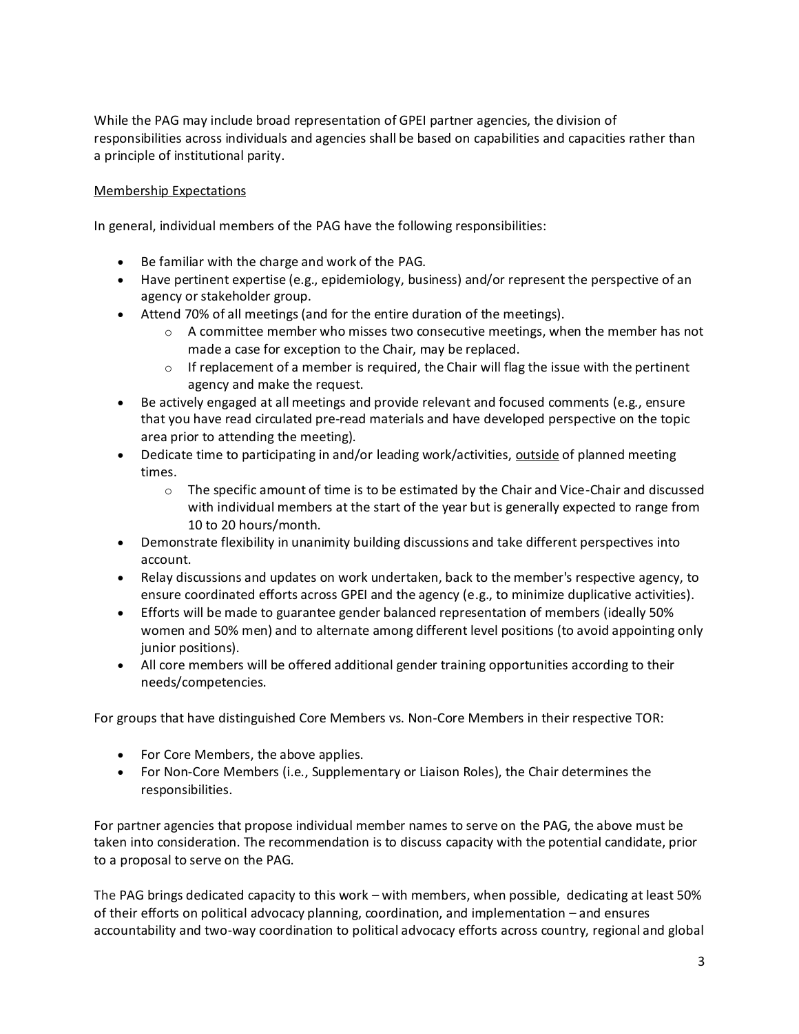While the PAG may include broad representation of GPEI partner agencies, the division of responsibilities across individuals and agencies shall be based on capabilities and capacities rather than a principle of institutional parity.

#### Membership Expectations

In general, individual members of the PAG have the following responsibilities:

- Be familiar with the charge and work of the PAG.
- Have pertinent expertise (e.g., epidemiology, business) and/or represent the perspective of an agency or stakeholder group.
- Attend 70% of all meetings (and for the entire duration of the meetings).
	- $\circ$  A committee member who misses two consecutive meetings, when the member has not made a case for exception to the Chair, may be replaced.
	- $\circ$  If replacement of a member is required, the Chair will flag the issue with the pertinent agency and make the request.
- Be actively engaged at all meetings and provide relevant and focused comments (e.g., ensure that you have read circulated pre-read materials and have developed perspective on the topic area prior to attending the meeting).
- Dedicate time to participating in and/or leading work/activities, outside of planned meeting times.
	- $\circ$  The specific amount of time is to be estimated by the Chair and Vice-Chair and discussed with individual members at the start of the year but is generally expected to range from 10 to 20 hours/month.
- Demonstrate flexibility in unanimity building discussions and take different perspectives into account.
- Relay discussions and updates on work undertaken, back to the member's respective agency, to ensure coordinated efforts across GPEI and the agency (e.g., to minimize duplicative activities).
- Efforts will be made to guarantee gender balanced representation of members (ideally 50% women and 50% men) and to alternate among different level positions (to avoid appointing only junior positions).
- All core members will be offered additional gender training opportunities according to their needs/competencies.

For groups that have distinguished Core Members vs. Non-Core Members in their respective TOR:

- For Core Members, the above applies.
- For Non-Core Members (i.e., Supplementary or Liaison Roles), the Chair determines the responsibilities.

For partner agencies that propose individual member names to serve on the PAG, the above must be taken into consideration. The recommendation is to discuss capacity with the potential candidate, prior to a proposal to serve on the PAG.

The PAG brings dedicated capacity to this work – with members, when possible, dedicating at least 50% of their efforts on political advocacy planning, coordination, and implementation – and ensures accountability and two-way coordination to political advocacy efforts across country, regional and global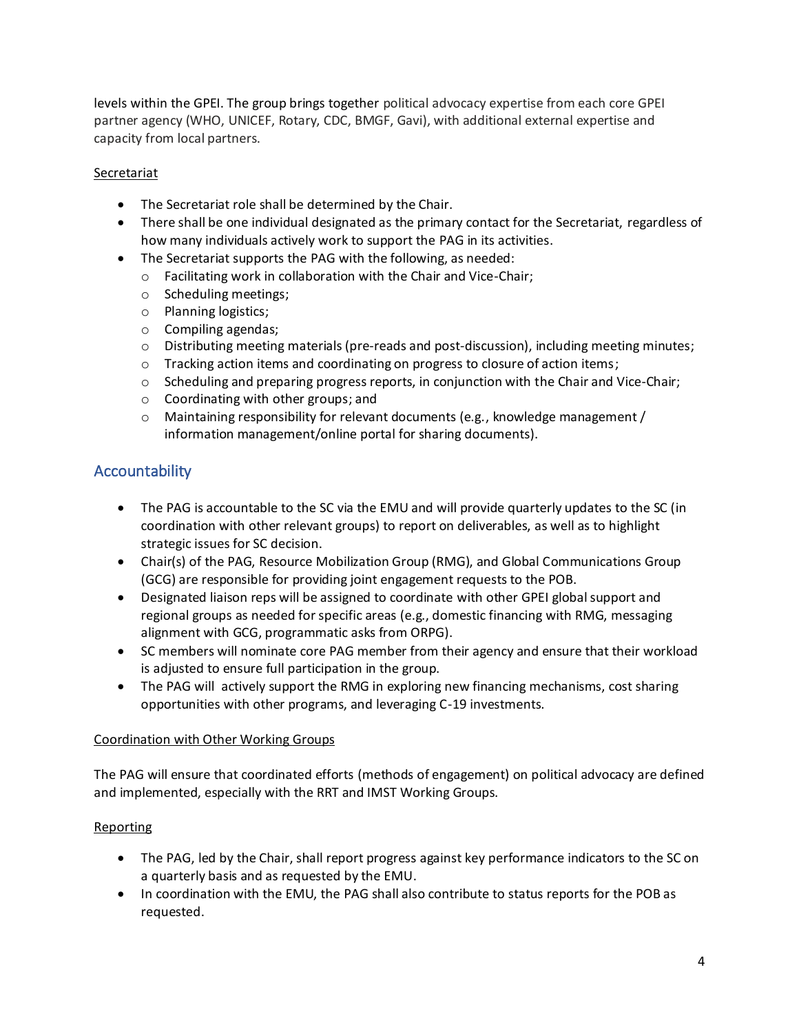levels within the GPEI. The group brings together political advocacy expertise from each core GPEI partner agency (WHO, UNICEF, Rotary, CDC, BMGF, Gavi), with additional external expertise and capacity from local partners.

#### **Secretariat**

- The Secretariat role shall be determined by the Chair.
- There shall be one individual designated as the primary contact for the Secretariat, regardless of how many individuals actively work to support the PAG in its activities.
- The Secretariat supports the PAG with the following, as needed:
	- o Facilitating work in collaboration with the Chair and Vice-Chair;
	- o Scheduling meetings;
	- o Planning logistics;
	- o Compiling agendas;
	- $\circ$  Distributing meeting materials (pre-reads and post-discussion), including meeting minutes;
	- o Tracking action items and coordinating on progress to closure of action items;
	- $\circ$  Scheduling and preparing progress reports, in conjunction with the Chair and Vice-Chair;
	- o Coordinating with other groups; and
	- $\circ$  Maintaining responsibility for relevant documents (e.g., knowledge management / information management/online portal for sharing documents).

# Accountability

- The PAG is accountable to the SC via the EMU and will provide quarterly updates to the SC (in coordination with other relevant groups) to report on deliverables, as well as to highlight strategic issues for SC decision.
- Chair(s) of the PAG, Resource Mobilization Group (RMG), and Global Communications Group (GCG) are responsible for providing joint engagement requests to the POB.
- Designated liaison reps will be assigned to coordinate with other GPEI global support and regional groups as needed for specific areas (e.g., domestic financing with RMG, messaging alignment with GCG, programmatic asks from ORPG).
- SC members will nominate core PAG member from their agency and ensure that their workload is adjusted to ensure full participation in the group.
- The PAG will actively support the RMG in exploring new financing mechanisms, cost sharing opportunities with other programs, and leveraging C-19 investments.

#### Coordination with Other Working Groups

The PAG will ensure that coordinated efforts (methods of engagement) on political advocacy are defined and implemented, especially with the RRT and IMST Working Groups.

#### Reporting

- The PAG, led by the Chair, shall report progress against key performance indicators to the SC on a quarterly basis and as requested by the EMU.
- In coordination with the EMU, the PAG shall also contribute to status reports for the POB as requested.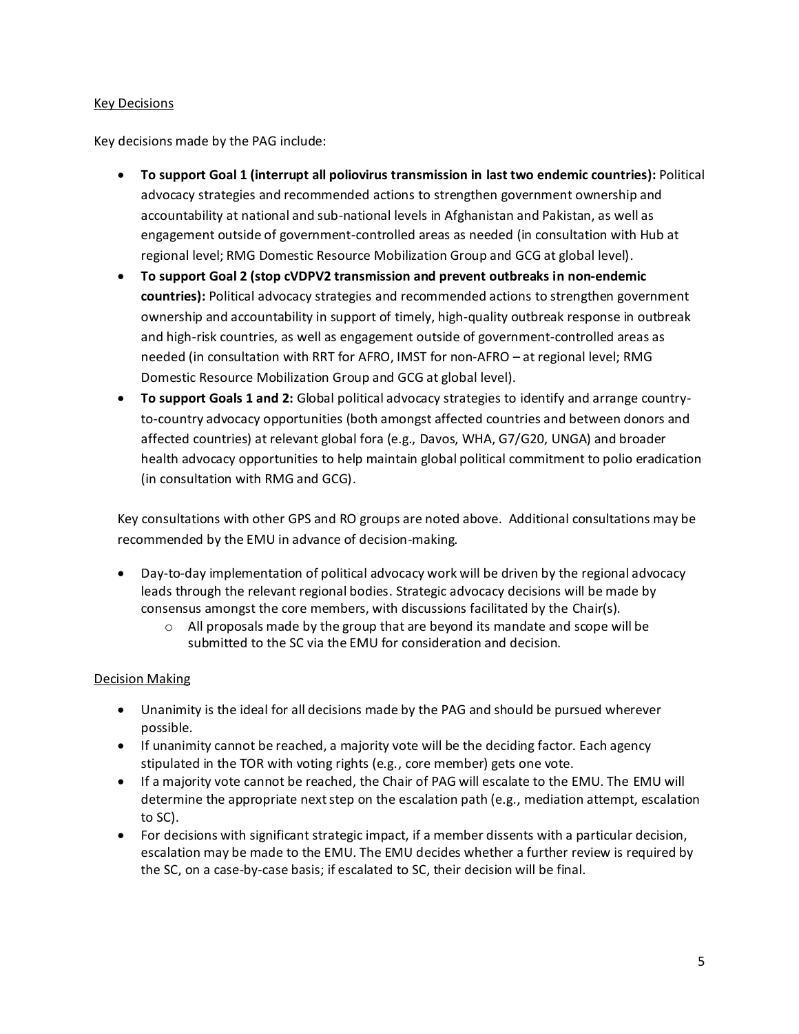#### Key Decisions

Key decisions made by the PAG include:

- **To support Goal 1 (interrupt all poliovirus transmission in last two endemic countries):** Political advocacy strategies and recommended actions to strengthen government ownership and accountability at national and sub-national levels in Afghanistan and Pakistan, as well as engagement outside of government-controlled areas as needed (in consultation with Hub at regional level; RMG Domestic Resource Mobilization Group and GCG at global level).
- **To support Goal 2 (stop cVDPV2 transmission and prevent outbreaks in non-endemic countries):** Political advocacy strategies and recommended actions to strengthen government ownership and accountability in support of timely, high-quality outbreak response in outbreak and high-risk countries, as well as engagement outside of government-controlled areas as needed (in consultation with RRT for AFRO, IMST for non-AFRO – at regional level; RMG Domestic Resource Mobilization Group and GCG at global level).
- **To support Goals 1 and 2:** Global political advocacy strategies to identify and arrange countryto-country advocacy opportunities (both amongst affected countries and between donors and affected countries) at relevant global fora (e.g., Davos, WHA, G7/G20, UNGA) and broader health advocacy opportunities to help maintain global political commitment to polio eradication (in consultation with RMG and GCG).

Key consultations with other GPS and RO groups are noted above. Additional consultations may be recommended by the EMU in advance of decision-making.

- Day-to-day implementation of political advocacy work will be driven by the regional advocacy leads through the relevant regional bodies. Strategic advocacy decisions will be made by consensus amongst the core members, with discussions facilitated by the Chair(s).
	- $\circ$  All proposals made by the group that are beyond its mandate and scope will be submitted to the SC via the EMU for consideration and decision.

#### Decision Making

- Unanimity is the ideal for all decisions made by the PAG and should be pursued wherever possible.
- If unanimity cannot be reached, a majority vote will be the deciding factor. Each agency stipulated in the TOR with voting rights (e.g., core member) gets one vote.
- If a majority vote cannot be reached, the Chair of PAG will escalate to the EMU. The EMU will determine the appropriate next step on the escalation path (e.g., mediation attempt, escalation to SC).
- For decisions with significant strategic impact, if a member dissents with a particular decision, escalation may be made to the EMU. The EMU decides whether a further review is required by the SC, on a case-by-case basis; if escalated to SC, their decision will be final.